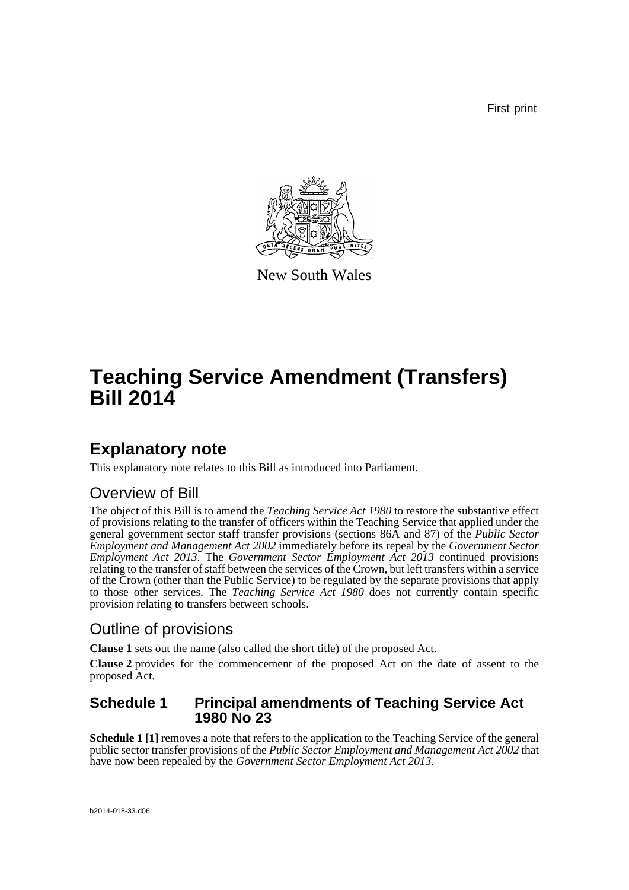First print



New South Wales

# **Teaching Service Amendment (Transfers) Bill 2014**

## **Explanatory note**

This explanatory note relates to this Bill as introduced into Parliament.

### Overview of Bill

The object of this Bill is to amend the *Teaching Service Act 1980* to restore the substantive effect of provisions relating to the transfer of officers within the Teaching Service that applied under the general government sector staff transfer provisions (sections 86A and 87) of the *Public Sector Employment and Management Act 2002* immediately before its repeal by the *Government Sector Employment Act 2013*. The *Government Sector Employment Act 2013* continued provisions relating to the transfer of staff between the services of the Crown, but left transfers within a service of the Crown (other than the Public Service) to be regulated by the separate provisions that apply to those other services. The *Teaching Service Act 1980* does not currently contain specific provision relating to transfers between schools.

### Outline of provisions

**Clause 1** sets out the name (also called the short title) of the proposed Act.

**Clause 2** provides for the commencement of the proposed Act on the date of assent to the proposed Act.

#### **Schedule 1 Principal amendments of Teaching Service Act 1980 No 23**

**Schedule 1** [1] removes a note that refers to the application to the Teaching Service of the general public sector transfer provisions of the *Public Sector Employment and Management Act 2002* that have now been repealed by the *Government Sector Employment Act 2013*.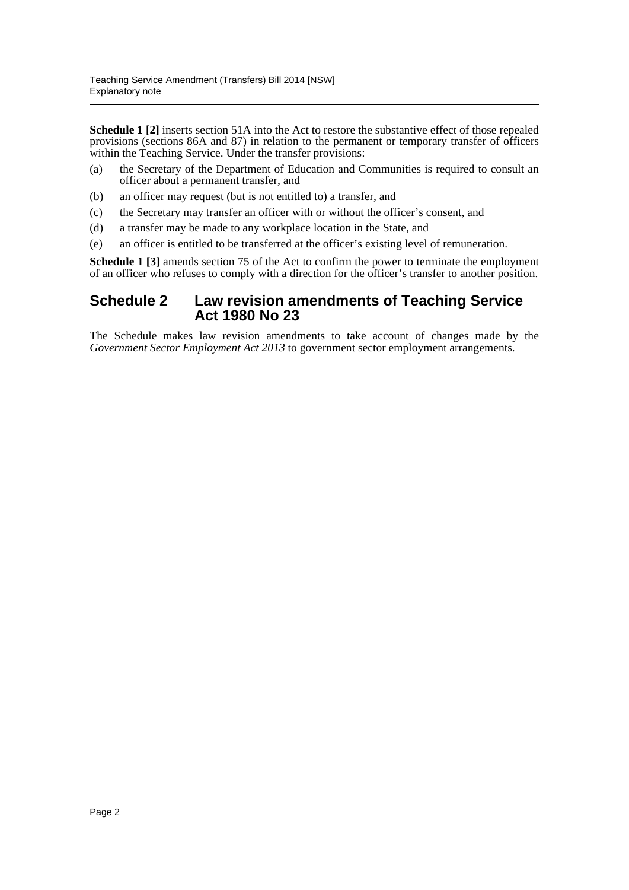**Schedule 1 [2]** inserts section 51A into the Act to restore the substantive effect of those repealed provisions (sections 86A and 87) in relation to the permanent or temporary transfer of officers within the Teaching Service. Under the transfer provisions:

- (a) the Secretary of the Department of Education and Communities is required to consult an officer about a permanent transfer, and
- (b) an officer may request (but is not entitled to) a transfer, and
- (c) the Secretary may transfer an officer with or without the officer's consent, and
- (d) a transfer may be made to any workplace location in the State, and
- (e) an officer is entitled to be transferred at the officer's existing level of remuneration.

**Schedule 1 [3]** amends section 75 of the Act to confirm the power to terminate the employment of an officer who refuses to comply with a direction for the officer's transfer to another position.

#### **Schedule 2 Law revision amendments of Teaching Service Act 1980 No 23**

The Schedule makes law revision amendments to take account of changes made by the *Government Sector Employment Act 2013* to government sector employment arrangements.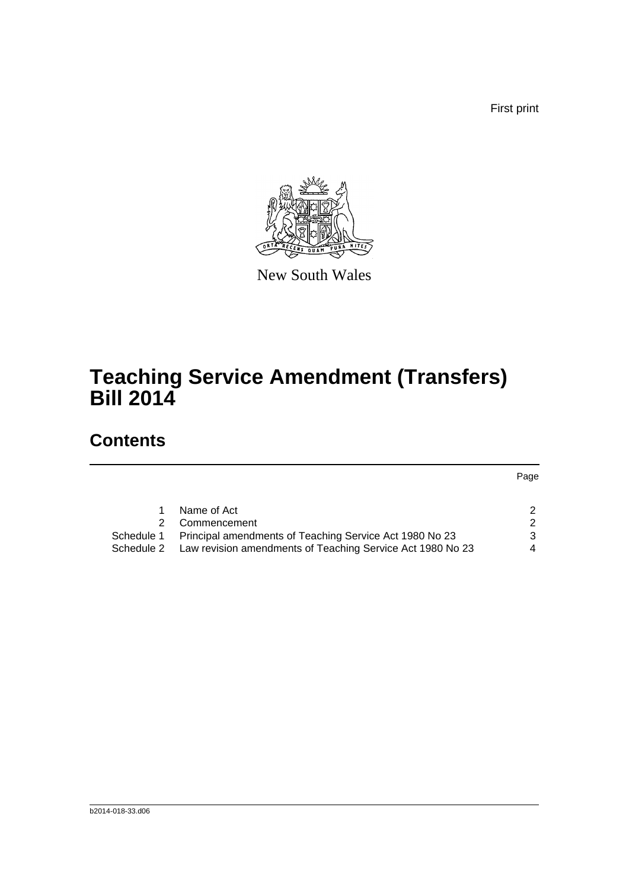First print



New South Wales

## **Teaching Service Amendment (Transfers) Bill 2014**

### **Contents**

Page

|            | Name of Act                                                |   |
|------------|------------------------------------------------------------|---|
|            | 2 Commencement                                             | 2 |
| Schedule 1 | Principal amendments of Teaching Service Act 1980 No 23    | 3 |
| Schedule 2 | Law revision amendments of Teaching Service Act 1980 No 23 | 4 |
|            |                                                            |   |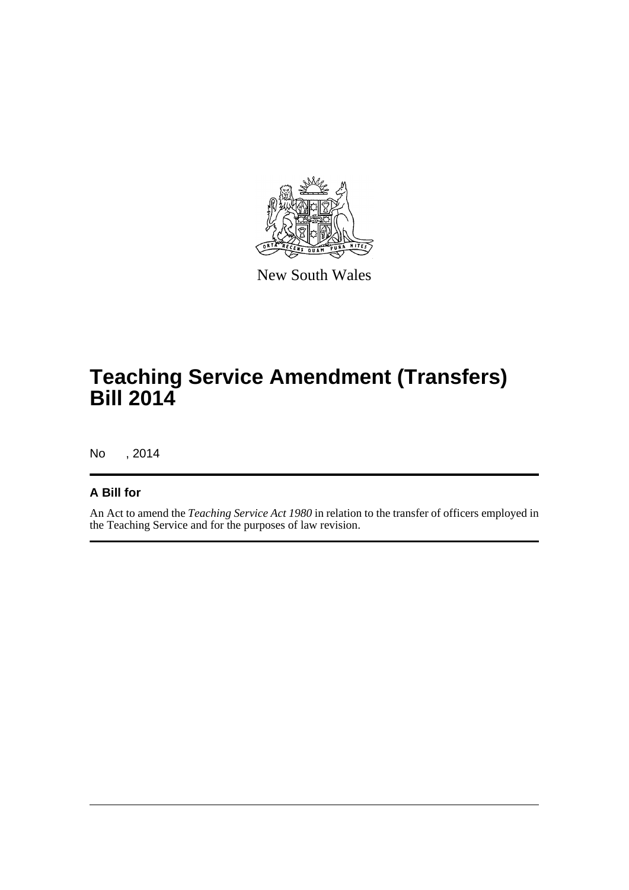

New South Wales

## **Teaching Service Amendment (Transfers) Bill 2014**

No , 2014

#### **A Bill for**

An Act to amend the *Teaching Service Act 1980* in relation to the transfer of officers employed in the Teaching Service and for the purposes of law revision.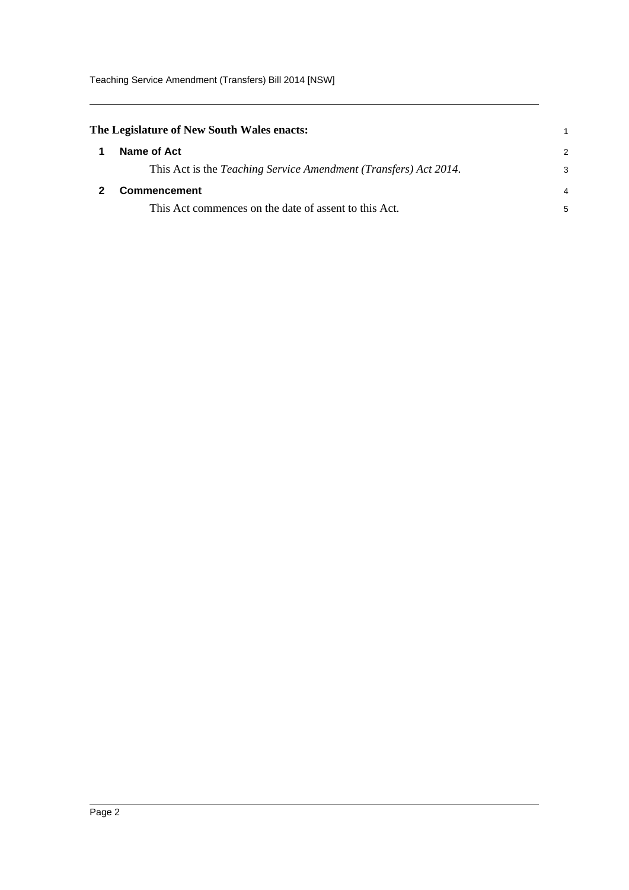Teaching Service Amendment (Transfers) Bill 2014 [NSW]

<span id="page-4-1"></span><span id="page-4-0"></span>

| $\mathcal{P}$ |
|---------------|
| 3             |
| 4             |
| 5             |
|               |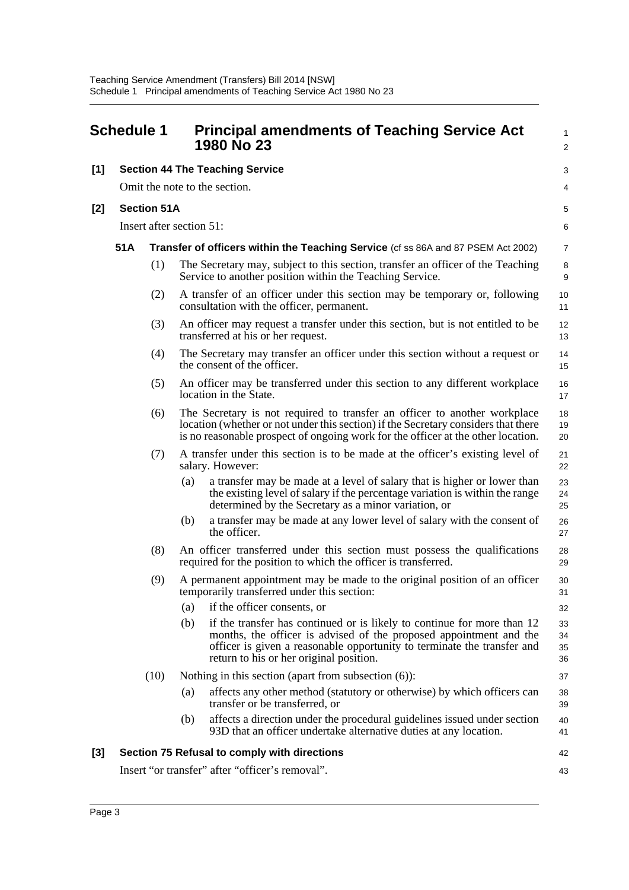<span id="page-5-0"></span>

| <b>Schedule 1</b> |                               |                          | <b>Principal amendments of Teaching Service Act</b><br>1980 No 23 | 1<br>$\overline{a}$                                                                                                                                                                                                                                                 |                      |  |
|-------------------|-------------------------------|--------------------------|-------------------------------------------------------------------|---------------------------------------------------------------------------------------------------------------------------------------------------------------------------------------------------------------------------------------------------------------------|----------------------|--|
| $[1]$             |                               |                          |                                                                   | <b>Section 44 The Teaching Service</b>                                                                                                                                                                                                                              | 3                    |  |
|                   | Omit the note to the section. |                          |                                                                   |                                                                                                                                                                                                                                                                     |                      |  |
| $[2]$             |                               | <b>Section 51A</b>       |                                                                   |                                                                                                                                                                                                                                                                     | 5                    |  |
|                   |                               | Insert after section 51: |                                                                   |                                                                                                                                                                                                                                                                     | 6                    |  |
|                   | 51A                           |                          |                                                                   | Transfer of officers within the Teaching Service (cf ss 86A and 87 PSEM Act 2002)                                                                                                                                                                                   |                      |  |
|                   |                               | (1)                      |                                                                   | The Secretary may, subject to this section, transfer an officer of the Teaching<br>Service to another position within the Teaching Service.                                                                                                                         | 8<br>9               |  |
|                   |                               | (2)                      |                                                                   | A transfer of an officer under this section may be temporary or, following<br>consultation with the officer, permanent.                                                                                                                                             | 10<br>11             |  |
|                   |                               | (3)                      |                                                                   | An officer may request a transfer under this section, but is not entitled to be<br>transferred at his or her request.                                                                                                                                               | 12<br>13             |  |
|                   |                               | (4)                      |                                                                   | The Secretary may transfer an officer under this section without a request or<br>the consent of the officer.                                                                                                                                                        | 14<br>15             |  |
|                   |                               | (5)                      |                                                                   | An officer may be transferred under this section to any different workplace<br>location in the State.                                                                                                                                                               | 16<br>17             |  |
|                   |                               | (6)                      |                                                                   | The Secretary is not required to transfer an officer to another workplace<br>location (whether or not under this section) if the Secretary considers that there<br>is no reasonable prospect of ongoing work for the officer at the other location.                 | 18<br>19<br>20       |  |
|                   |                               | (7)                      |                                                                   | A transfer under this section is to be made at the officer's existing level of<br>salary. However:                                                                                                                                                                  | 21<br>22             |  |
|                   |                               |                          | (a)                                                               | a transfer may be made at a level of salary that is higher or lower than<br>the existing level of salary if the percentage variation is within the range<br>determined by the Secretary as a minor variation, or                                                    | 23<br>24<br>25       |  |
|                   |                               |                          | (b)                                                               | a transfer may be made at any lower level of salary with the consent of<br>the officer.                                                                                                                                                                             | 26<br>27             |  |
|                   |                               | (8)                      |                                                                   | An officer transferred under this section must possess the qualifications<br>required for the position to which the officer is transferred.                                                                                                                         | 28<br>29             |  |
|                   |                               | (9)                      |                                                                   | A permanent appointment may be made to the original position of an officer<br>temporarily transferred under this section:                                                                                                                                           | 30<br>31             |  |
|                   |                               |                          | (a)                                                               | if the officer consents, or                                                                                                                                                                                                                                         | 32                   |  |
|                   |                               |                          | (b)                                                               | if the transfer has continued or is likely to continue for more than 12<br>months, the officer is advised of the proposed appointment and the<br>officer is given a reasonable opportunity to terminate the transfer and<br>return to his or her original position. | 33<br>34<br>35<br>36 |  |
|                   |                               | (10)                     |                                                                   | Nothing in this section (apart from subsection $(6)$ ):                                                                                                                                                                                                             | 37                   |  |
|                   |                               |                          | (a)                                                               | affects any other method (statutory or otherwise) by which officers can<br>transfer or be transferred, or                                                                                                                                                           | 38<br>39             |  |
|                   |                               |                          | (b)                                                               | affects a direction under the procedural guidelines issued under section<br>93D that an officer undertake alternative duties at any location.                                                                                                                       | 40<br>41             |  |
| $[3]$             |                               |                          |                                                                   | Section 75 Refusal to comply with directions                                                                                                                                                                                                                        | 42                   |  |
|                   |                               |                          |                                                                   | Insert "or transfer" after "officer's removal".                                                                                                                                                                                                                     | 43                   |  |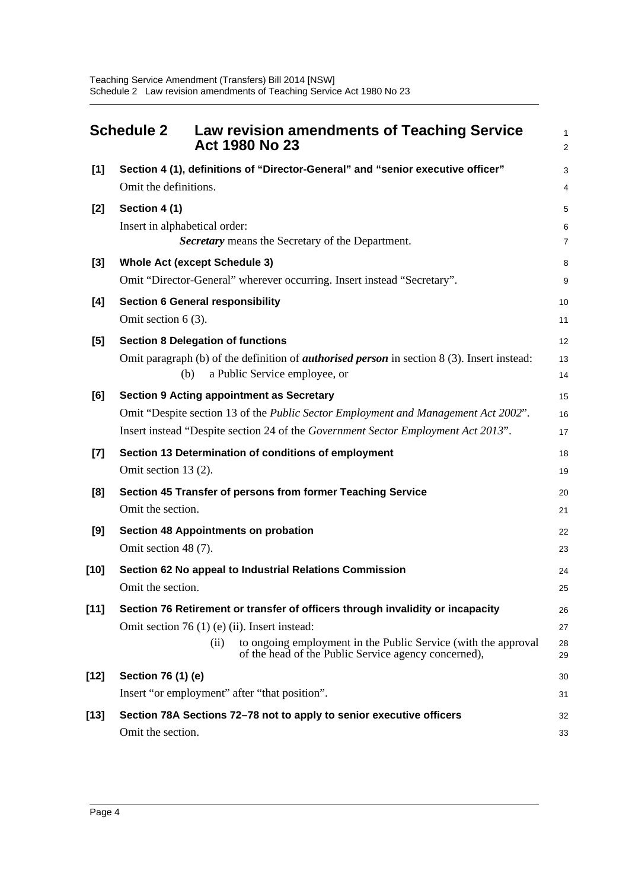<span id="page-6-0"></span>

|        | Law revision amendments of Teaching Service<br><b>Schedule 2</b><br><b>Act 1980 No 23</b>                                                  | 1<br>$\overline{a}$ |  |  |  |
|--------|--------------------------------------------------------------------------------------------------------------------------------------------|---------------------|--|--|--|
| [1]    | Section 4 (1), definitions of "Director-General" and "senior executive officer"                                                            | 3                   |  |  |  |
|        | Omit the definitions.                                                                                                                      |                     |  |  |  |
| [2]    | Section 4 (1)                                                                                                                              | 5                   |  |  |  |
|        | Insert in alphabetical order:<br>Secretary means the Secretary of the Department.                                                          | 6<br>7              |  |  |  |
| $[3]$  | <b>Whole Act (except Schedule 3)</b>                                                                                                       | 8                   |  |  |  |
|        | Omit "Director-General" wherever occurring. Insert instead "Secretary".                                                                    | 9                   |  |  |  |
| [4]    | <b>Section 6 General responsibility</b>                                                                                                    | 10                  |  |  |  |
|        | Omit section 6 (3).                                                                                                                        | 11                  |  |  |  |
| [5]    | <b>Section 8 Delegation of functions</b>                                                                                                   | 12                  |  |  |  |
|        | Omit paragraph (b) of the definition of <i>authorised person</i> in section 8 (3). Insert instead:<br>a Public Service employee, or<br>(b) | 13<br>14            |  |  |  |
| [6]    | <b>Section 9 Acting appointment as Secretary</b>                                                                                           | 15                  |  |  |  |
|        | Omit "Despite section 13 of the <i>Public Sector Employment and Management Act 2002"</i> .                                                 | 16                  |  |  |  |
|        | Insert instead "Despite section 24 of the <i>Government Sector Employment Act 2013</i> ".                                                  | 17                  |  |  |  |
| $[7]$  | Section 13 Determination of conditions of employment                                                                                       | 18                  |  |  |  |
|        | Omit section 13 (2).                                                                                                                       | 19                  |  |  |  |
| [8]    | Section 45 Transfer of persons from former Teaching Service                                                                                | 20                  |  |  |  |
|        | Omit the section.                                                                                                                          | 21                  |  |  |  |
| [9]    | <b>Section 48 Appointments on probation</b>                                                                                                | 22                  |  |  |  |
|        | Omit section 48 (7).                                                                                                                       | 23                  |  |  |  |
| $[10]$ | Section 62 No appeal to Industrial Relations Commission                                                                                    | 24                  |  |  |  |
|        | Omit the section.                                                                                                                          | 25                  |  |  |  |
| $[11]$ | Section 76 Retirement or transfer of officers through invalidity or incapacity                                                             | 26                  |  |  |  |
|        | Omit section 76 (1) (e) (ii). Insert instead:                                                                                              | 27                  |  |  |  |
|        | to ongoing employment in the Public Service (with the approval<br>(ii)<br>of the head of the Public Service agency concerned),             | 28<br>29            |  |  |  |
| $[12]$ | Section 76 (1) (e)                                                                                                                         | 30                  |  |  |  |
|        | Insert "or employment" after "that position".                                                                                              | 31                  |  |  |  |
| $[13]$ | Section 78A Sections 72–78 not to apply to senior executive officers                                                                       | 32                  |  |  |  |
|        | Omit the section.                                                                                                                          | 33                  |  |  |  |